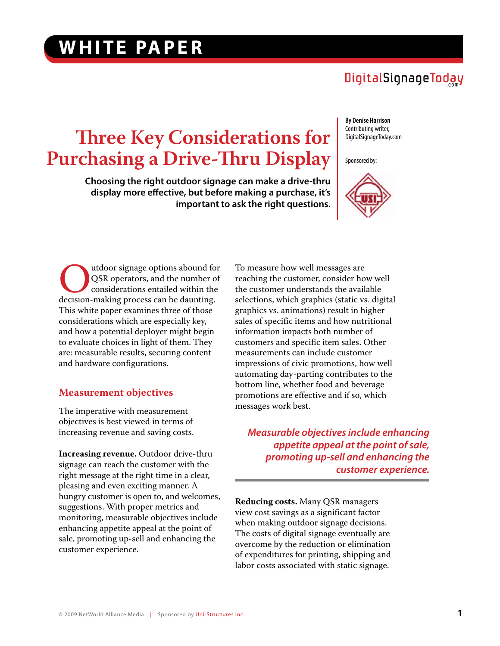## DigitalSignageToday

# **Three Key Considerations for Purchasing a Drive-Thru Display**

**Choosing the right outdoor signage can make a drive-thru display more effective, but before making a purchase, it's important to ask the right questions.** 

**By Denise Harrison** Contributing writer, DigitalSignageToday.com

Sponsored by:



Outdoor signage options abound for<br>
QSR operators, and the number of<br>
decision-making process can be daunting. QSR operators, and the number of considerations entailed within the This white paper examines three of those considerations which are especially key, and how a potential deployer might begin to evaluate choices in light of them. They are: measurable results, securing content and hardware configurations.

#### **Measurement objectives**

The imperative with measurement objectives is best viewed in terms of increasing revenue and saving costs.

**Increasing revenue.** Outdoor drive-thru signage can reach the customer with the right message at the right time in a clear, pleasing and even exciting manner. A hungry customer is open to, and welcomes, suggestions. With proper metrics and monitoring, measurable objectives include enhancing appetite appeal at the point of sale, promoting up-sell and enhancing the customer experience.

To measure how well messages are reaching the customer, consider how well the customer understands the available selections, which graphics (static vs. digital graphics vs. animations) result in higher sales of specific items and how nutritional information impacts both number of customers and specific item sales. Other measurements can include customer impressions of civic promotions, how well automating day-parting contributes to the bottom line, whether food and beverage promotions are effective and if so, which messages work best.

*Measurable objectives include enhancing appetite appeal at the point of sale, promoting up-sell and enhancing the customer experience.*

**Reducing costs.** Many QSR managers view cost savings as a significant factor when making outdoor signage decisions. The costs of digital signage eventually are overcome by the reduction or elimination of expenditures for printing, shipping and labor costs associated with static signage.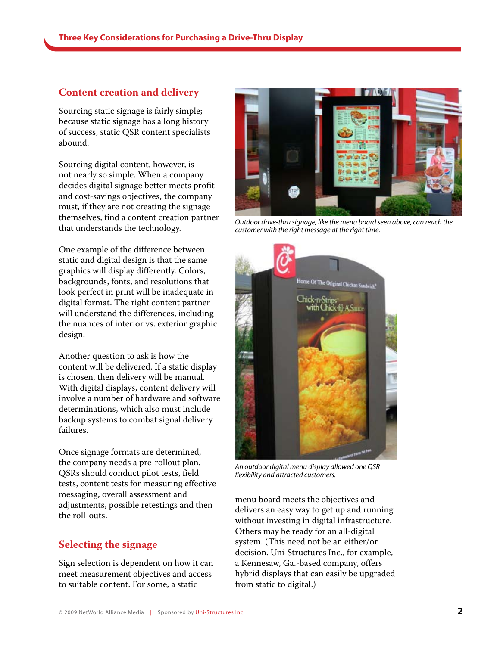#### **Content creation and delivery**

Sourcing static signage is fairly simple; because static signage has a long history of success, static QSR content specialists abound.

Sourcing digital content, however, is not nearly so simple. When a company decides digital signage better meets profit and cost-savings objectives, the company must, if they are not creating the signage themselves, find a content creation partner that understands the technology.

One example of the difference between static and digital design is that the same graphics will display differently. Colors, backgrounds, fonts, and resolutions that look perfect in print will be inadequate in digital format. The right content partner will understand the differences, including the nuances of interior vs. exterior graphic design.

Another question to ask is how the content will be delivered. If a static display is chosen, then delivery will be manual. With digital displays, content delivery will involve a number of hardware and software determinations, which also must include backup systems to combat signal delivery failures.

Once signage formats are determined, the company needs a pre-rollout plan. QSRs should conduct pilot tests, field tests, content tests for measuring effective messaging, overall assessment and adjustments, possible retestings and then the roll-outs.

### **Selecting the signage**

Sign selection is dependent on how it can meet measurement objectives and access to suitable content. For some, a static



*Outdoor drive-thru signage, like the menu board seen above, can reach the customer with the right message at the right time.* 



*An outdoor digital menu display allowed one QSR flexibility and attracted customers.*

menu board meets the objectives and delivers an easy way to get up and running without investing in digital infrastructure. Others may be ready for an all-digital system. (This need not be an either/or decision. Uni-Structures Inc., for example, a Kennesaw, Ga.-based company, offers hybrid displays that can easily be upgraded from static to digital.)